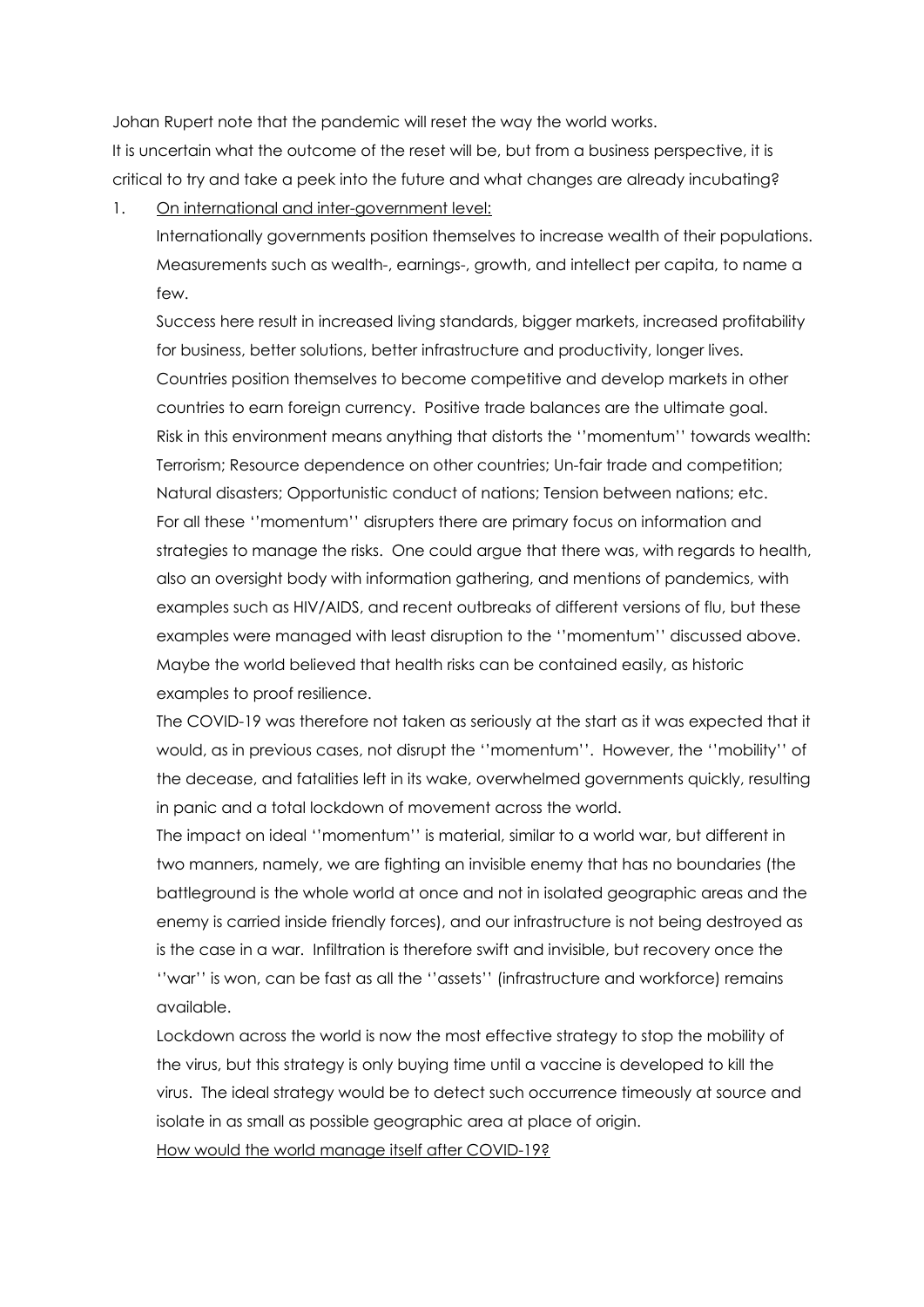Johan Rupert note that the pandemic will reset the way the world works.

It is uncertain what the outcome of the reset will be, but from a business perspective, it is critical to try and take a peek into the future and what changes are already incubating?

1. On international and inter-government level:

Internationally governments position themselves to increase wealth of their populations. Measurements such as wealth-, earnings-, growth, and intellect per capita, to name a few.

Success here result in increased living standards, bigger markets, increased profitability for business, better solutions, better infrastructure and productivity, longer lives. Countries position themselves to become competitive and develop markets in other countries to earn foreign currency. Positive trade balances are the ultimate goal. Risk in this environment means anything that distorts the ''momentum'' towards wealth: Terrorism; Resource dependence on other countries; Un-fair trade and competition; Natural disasters; Opportunistic conduct of nations; Tension between nations; etc. For all these ''momentum'' disrupters there are primary focus on information and strategies to manage the risks. One could argue that there was, with regards to health, also an oversight body with information gathering, and mentions of pandemics, with examples such as HIV/AIDS, and recent outbreaks of different versions of flu, but these examples were managed with least disruption to the ''momentum'' discussed above. Maybe the world believed that health risks can be contained easily, as historic examples to proof resilience.

The COVID-19 was therefore not taken as seriously at the start as it was expected that it would, as in previous cases, not disrupt the ''momentum''. However, the ''mobility'' of the decease, and fatalities left in its wake, overwhelmed governments quickly, resulting in panic and a total lockdown of movement across the world.

The impact on ideal ''momentum'' is material, similar to a world war, but different in two manners, namely, we are fighting an invisible enemy that has no boundaries (the battleground is the whole world at once and not in isolated geographic areas and the enemy is carried inside friendly forces), and our infrastructure is not being destroyed as is the case in a war. Infiltration is therefore swift and invisible, but recovery once the ''war'' is won, can be fast as all the ''assets'' (infrastructure and workforce) remains available.

Lockdown across the world is now the most effective strategy to stop the mobility of the virus, but this strategy is only buying time until a vaccine is developed to kill the virus. The ideal strategy would be to detect such occurrence timeously at source and isolate in as small as possible geographic area at place of origin.

How would the world manage itself after COVID-19?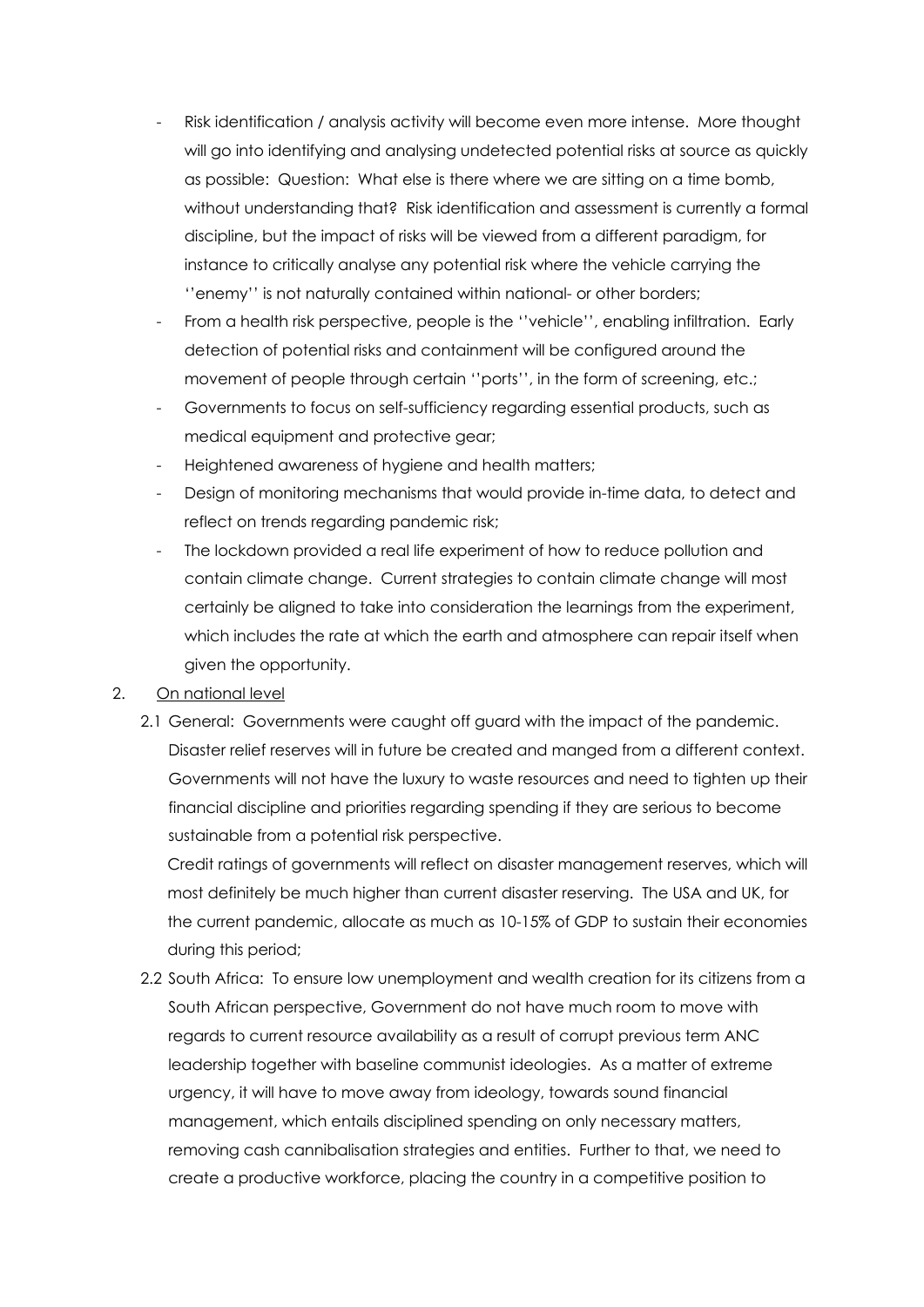- Risk identification / analysis activity will become even more intense. More thought will go into identifying and analysing undetected potential risks at source as quickly as possible: Question: What else is there where we are sitting on a time bomb, without understanding that? Risk identification and assessment is currently a formal discipline, but the impact of risks will be viewed from a different paradigm, for instance to critically analyse any potential risk where the vehicle carrying the ''enemy'' is not naturally contained within national- or other borders;
- From a health risk perspective, people is the ''vehicle'', enabling infiltration. Early detection of potential risks and containment will be configured around the movement of people through certain ''ports'', in the form of screening, etc.;
- Governments to focus on self-sufficiency regarding essential products, such as medical equipment and protective gear;
- Heightened awareness of hygiene and health matters;
- Design of monitoring mechanisms that would provide in-time data, to detect and reflect on trends regarding pandemic risk;
- The lockdown provided a real life experiment of how to reduce pollution and contain climate change. Current strategies to contain climate change will most certainly be aligned to take into consideration the learnings from the experiment, which includes the rate at which the earth and atmosphere can repair itself when given the opportunity.

## 2. On national level

2.1 General: Governments were caught off guard with the impact of the pandemic. Disaster relief reserves will in future be created and manged from a different context. Governments will not have the luxury to waste resources and need to tighten up their financial discipline and priorities regarding spending if they are serious to become sustainable from a potential risk perspective.

Credit ratings of governments will reflect on disaster management reserves, which will most definitely be much higher than current disaster reserving. The USA and UK, for the current pandemic, allocate as much as 10-15% of GDP to sustain their economies during this period;

2.2 South Africa: To ensure low unemployment and wealth creation for its citizens from a South African perspective, Government do not have much room to move with regards to current resource availability as a result of corrupt previous term ANC leadership together with baseline communist ideologies. As a matter of extreme urgency, it will have to move away from ideology, towards sound financial management, which entails disciplined spending on only necessary matters, removing cash cannibalisation strategies and entities. Further to that, we need to create a productive workforce, placing the country in a competitive position to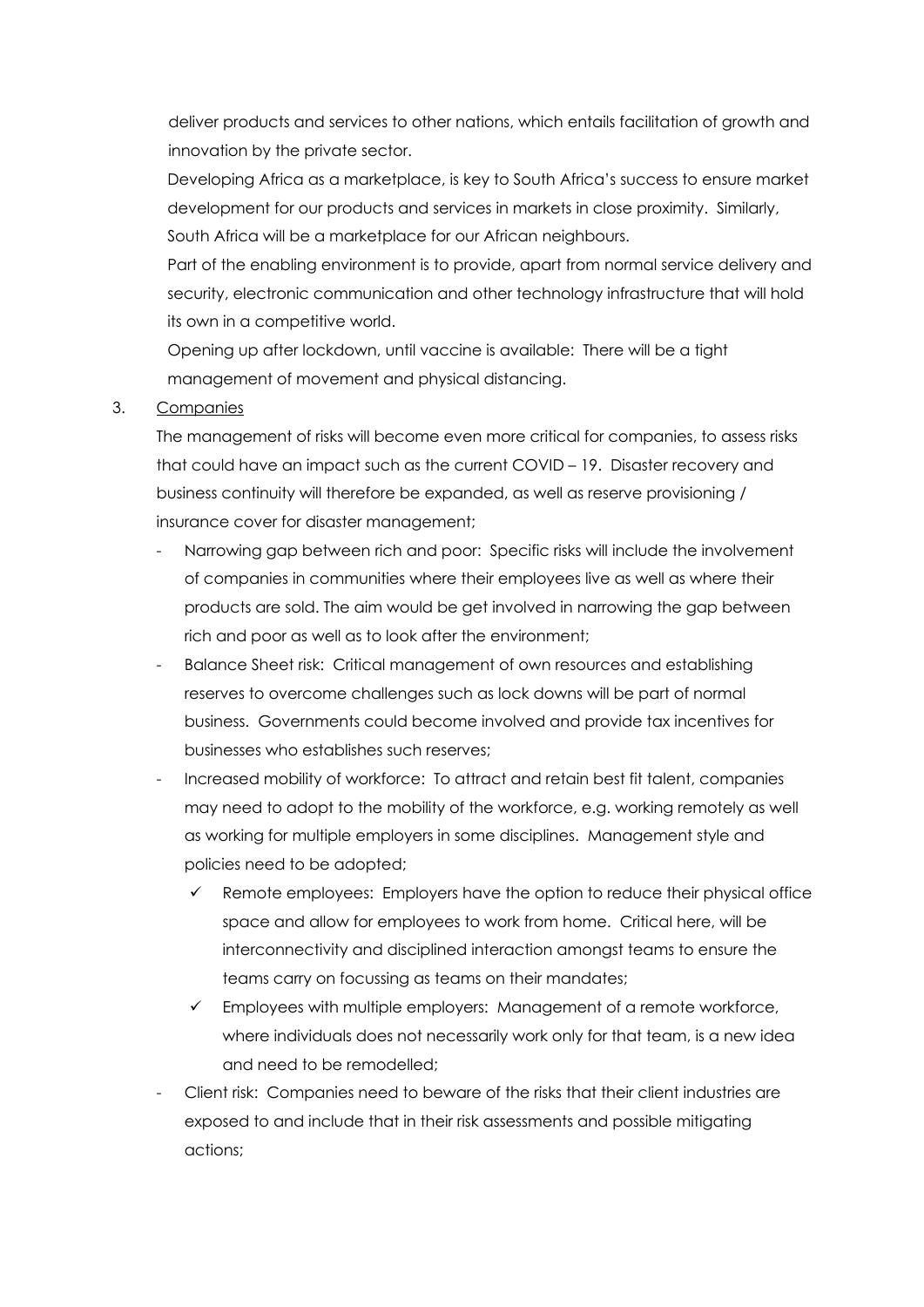deliver products and services to other nations, which entails facilitation of growth and innovation by the private sector.

Developing Africa as a marketplace, is key to South Africa's success to ensure market development for our products and services in markets in close proximity. Similarly, South Africa will be a marketplace for our African neighbours.

Part of the enabling environment is to provide, apart from normal service delivery and security, electronic communication and other technology infrastructure that will hold its own in a competitive world.

Opening up after lockdown, until vaccine is available: There will be a tight management of movement and physical distancing.

## 3. Companies

The management of risks will become even more critical for companies, to assess risks that could have an impact such as the current COVID – 19. Disaster recovery and business continuity will therefore be expanded, as well as reserve provisioning / insurance cover for disaster management;

- Narrowing gap between rich and poor: Specific risks will include the involvement of companies in communities where their employees live as well as where their products are sold. The aim would be get involved in narrowing the gap between rich and poor as well as to look after the environment;
- Balance Sheet risk: Critical management of own resources and establishing reserves to overcome challenges such as lock downs will be part of normal business. Governments could become involved and provide tax incentives for businesses who establishes such reserves;
- Increased mobility of workforce: To attract and retain best fit talent, companies may need to adopt to the mobility of the workforce, e.g. working remotely as well as working for multiple employers in some disciplines. Management style and policies need to be adopted;
	- $\checkmark$  Remote employees: Employers have the option to reduce their physical office space and allow for employees to work from home. Critical here, will be interconnectivity and disciplined interaction amongst teams to ensure the teams carry on focussing as teams on their mandates;
	- $\checkmark$  Employees with multiple employers: Management of a remote workforce, where individuals does not necessarily work only for that team, is a new idea and need to be remodelled;
- Client risk: Companies need to beware of the risks that their client industries are exposed to and include that in their risk assessments and possible mitigating actions;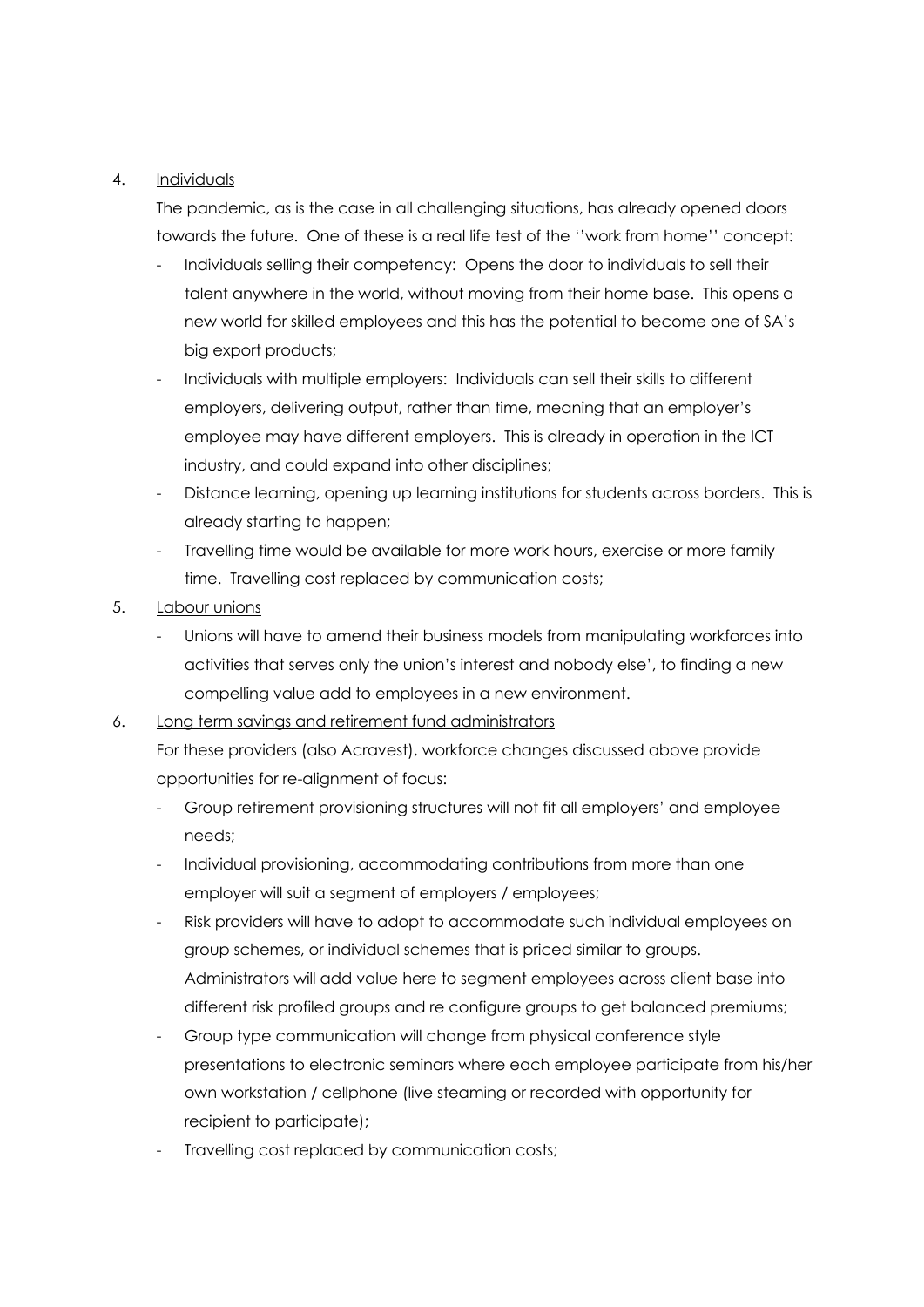## 4. Individuals

The pandemic, as is the case in all challenging situations, has already opened doors towards the future. One of these is a real life test of the ''work from home'' concept:

- Individuals selling their competency: Opens the door to individuals to sell their talent anywhere in the world, without moving from their home base. This opens a new world for skilled employees and this has the potential to become one of SA's big export products;
- Individuals with multiple employers: Individuals can sell their skills to different employers, delivering output, rather than time, meaning that an employer's employee may have different employers. This is already in operation in the ICT industry, and could expand into other disciplines;
- Distance learning, opening up learning institutions for students across borders. This is already starting to happen;
- Travelling time would be available for more work hours, exercise or more family time. Travelling cost replaced by communication costs;
- 5. Labour unions
	- Unions will have to amend their business models from manipulating workforces into activities that serves only the union's interest and nobody else', to finding a new compelling value add to employees in a new environment.
- 6. Long term savings and retirement fund administrators

For these providers (also Acravest), workforce changes discussed above provide opportunities for re-alignment of focus:

- Group retirement provisioning structures will not fit all employers' and employee needs;
- Individual provisioning, accommodating contributions from more than one employer will suit a segment of employers / employees;
- Risk providers will have to adopt to accommodate such individual employees on group schemes, or individual schemes that is priced similar to groups. Administrators will add value here to segment employees across client base into different risk profiled groups and re configure groups to get balanced premiums;
- Group type communication will change from physical conference style presentations to electronic seminars where each employee participate from his/her own workstation / cellphone (live steaming or recorded with opportunity for recipient to participate);
- Travelling cost replaced by communication costs;